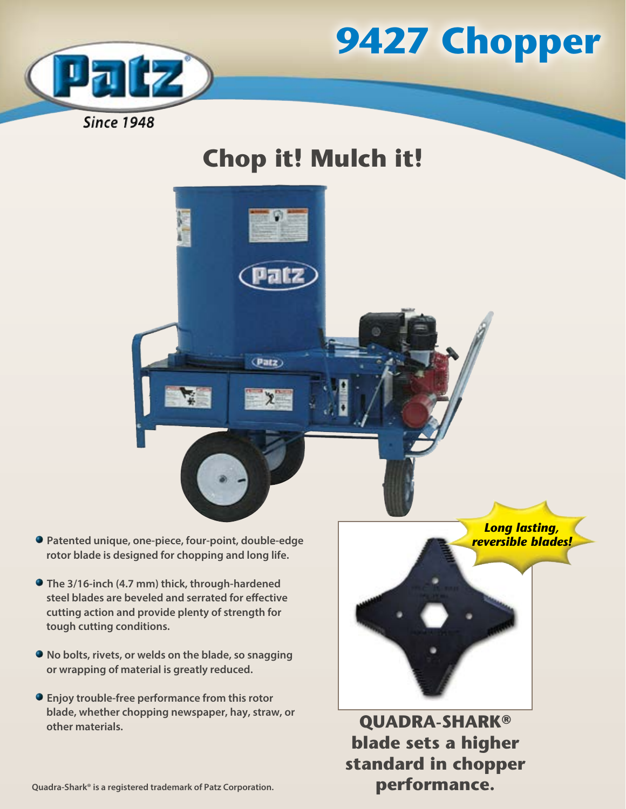



# **Chop it! Mulch it!**



- **Patented unique, one-piece, four-point, double-edge rotor blade is designed for chopping and long life.**
- **The 3/16-inch (4.7 mm) thick, through-hardened steel blades are beveled and serrated for effective cutting action and provide plenty of strength for tough cutting conditions.**
- **No bolts, rivets, or welds on the blade, so snagging or wrapping of material is greatly reduced.**
- **Enjoy trouble-free performance from this rotor blade, whether chopping newspaper, hay, straw, or other materials.**

*Long lasting, reversible blades!*

**QUADRA-SHARK® blade sets a higher standard in chopper performance.**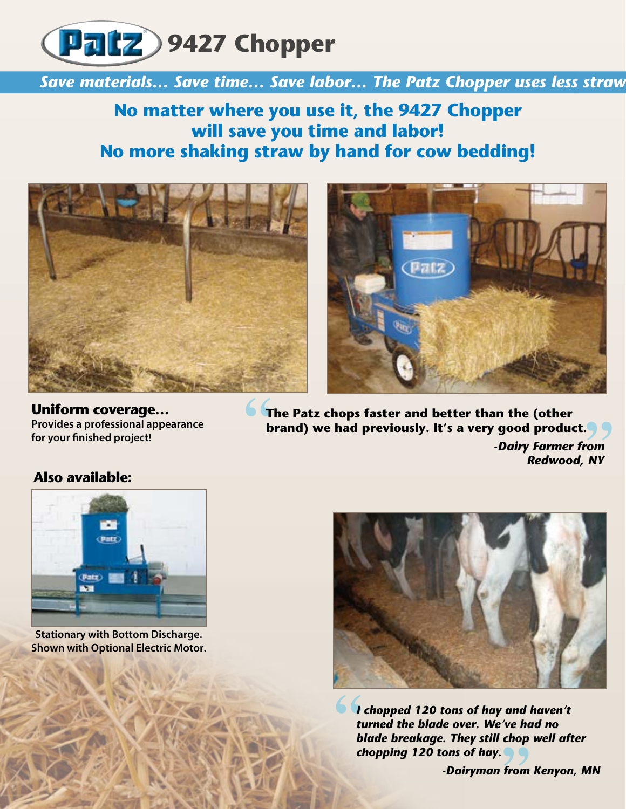

**Save materials... Save time... Save labor... The Patz Chopper uses less straw** 

**No matter where you use it, the 9427 Chopper will save you time and labor! No more shaking straw by hand for cow bedding!**





**Uniform coverage… Provides a professional appearance for your finished project!** 

**The Patz chops faster and better than the (other brand) we had previously. It's a very good product***. -Dairy Farmer from Redwood, NY*

#### **Also available:**



**Stationary with Bottom Discharge. Shown with Optional Electric Motor.**



*I chopped 120 tons of hay and haven't turned the blade over. We've had no blade breakage. They still chop well after chopping 120 tons of hay.*

*-Dairyman from Kenyon, MN*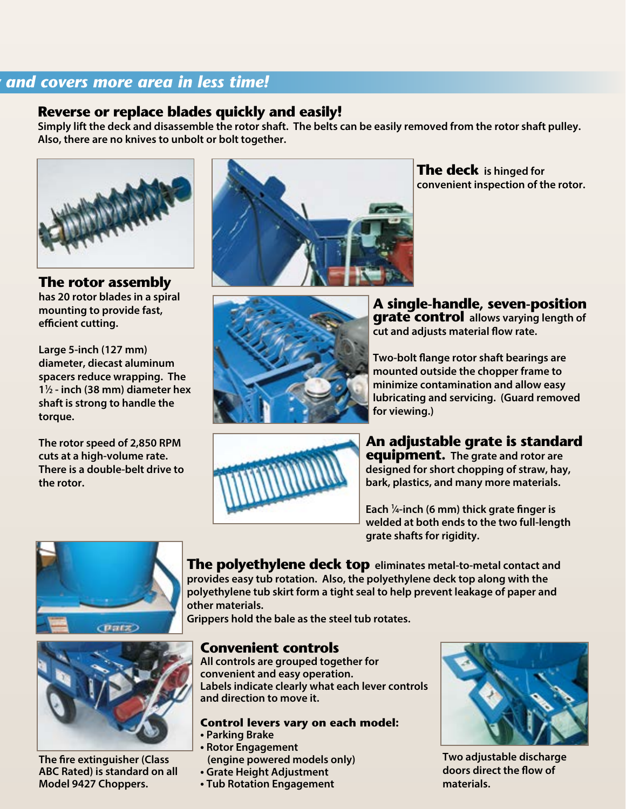#### *And covers more area in less time!*

### **Reverse or replace blades quickly and easily!**

**Simply lift the deck and disassemble the rotor shaft. The belts can be easily removed from the rotor shaft pulley. Also, there are no knives to unbolt or bolt together.**



**The rotor assembly has 20 rotor blades in a spiral mounting to provide fast, efficient cutting.** 

**Large 5-inch (127 mm) diameter, diecast aluminum spacers reduce wrapping. The 11 ⁄2 - inch (38 mm) diameter hex shaft is strong to handle the torque.** 

**The rotor speed of 2,850 RPM cuts at a high-volume rate. There is a double-belt drive to the rotor.**



**The deck is hinged for convenient inspection of the rotor.** 



**A single-handle, seven-position grate control allows varying length of cut and adjusts material flow rate.**

**Two-bolt flange rotor shaft bearings are mounted outside the chopper frame to minimize contamination and allow easy lubricating and servicing. (Guard removed for viewing.)**



**An adjustable grate is standard equipment. The grate and rotor are designed for short chopping of straw, hay, bark, plastics, and many more materials.**

**Each 1 ⁄4-inch (6 mm) thick grate finger is welded at both ends to the two full-length grate shafts for rigidity.**





**The fire extinguisher (Class ABC Rated) is standard on all Model 9427 Choppers.**

**The polyethylene deck top eliminates metal-to-metal contact and provides easy tub rotation. Also, the polyethylene deck top along with the polyethylene tub skirt form a tight seal to help prevent leakage of paper and other materials.** 

**Grippers hold the bale as the steel tub rotates.**

#### **Convenient controls**

**All controls are grouped together for convenient and easy operation. Labels indicate clearly what each lever controls and direction to move it.**

#### **Control levers vary on each model:**

- **Parking Brake**
- **Rotor Engagement (engine powered models only)**
- **Grate Height Adjustment**
- **Tub Rotation Engagement**



**Two adjustable discharge doors direct the flow of materials.**